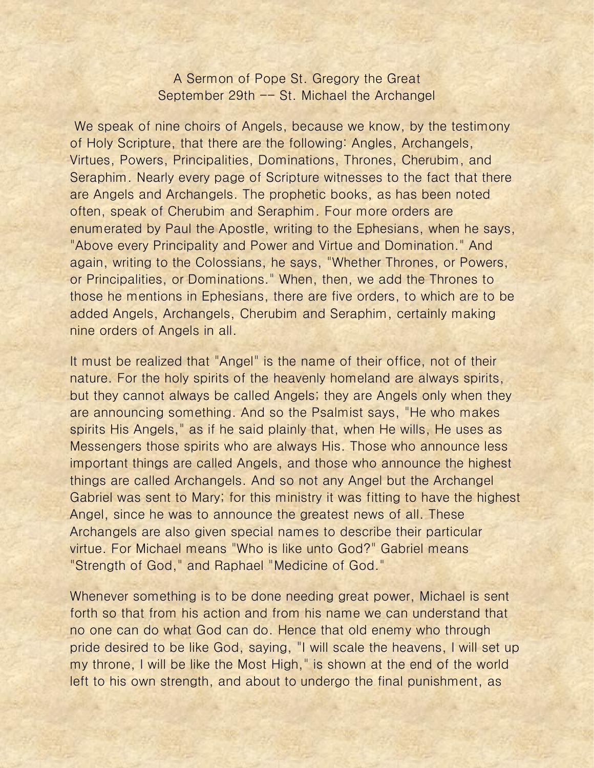## A Sermon of Pope St. Gregory the Great September 29th - St. Michael the Archangel

We speak of nine choirs of Angels, because we know, by the testimony of Holy Scripture, that there are the following: Angles, Archangels, Virtues, Powers, Principalities, Dominations, Thrones, Cherubim, and Seraphim. Nearly every page of Scripture witnesses to the fact that there are Angels and Archangels. The prophetic books, as has been noted often, speak of Cherubim and Seraphim. Four more orders are enumerated by Paul the Apostle, writing to the Ephesians, when he says, "Above every Principality and Power and Virtue and Domination." And again, writing to the Colossians, he says, "Whether Thrones, or Powers, or Principalities, or Dominations." When, then, we add the Thrones to those he mentions in Ephesians, there are five orders, to which are to be added Angels, Archangels, Cherubim and Seraphim, certainly making nine orders of Angels in all.

It must be realized that "Angel" is the name of their office, not of their nature. For the holy spirits of the heavenly homeland are always spirits, but they cannot always be called Angels; they are Angels only when they are announcing something. And so the Psalmist says, "He who makes spirits His Angels," as if he said plainly that, when He wills, He uses as Messengers those spirits who are always His. Those who announce less important things are called Angels, and those who announce the highest things are called Archangels. And so not any Angel but the Archangel Gabriel was sent to Mary; for this ministry it was fitting to have the highest Angel, since he was to announce the greatest news of all. These Archangels are also given special names to describe their particular virtue. For Michael means "Who is like unto God?" Gabriel means "Strength of God," and Raphael "Medicine of God."

Whenever something is to be done needing great power, Michael is sent forth so that from his action and from his name we can understand that no one can do what God can do. Hence that old enemy who through pride desired to be like God, saying, "I will scale the heavens, I will set up my throne, I will be like the Most High," is shown at the end of the world left to his own strength, and about to undergo the final punishment, as